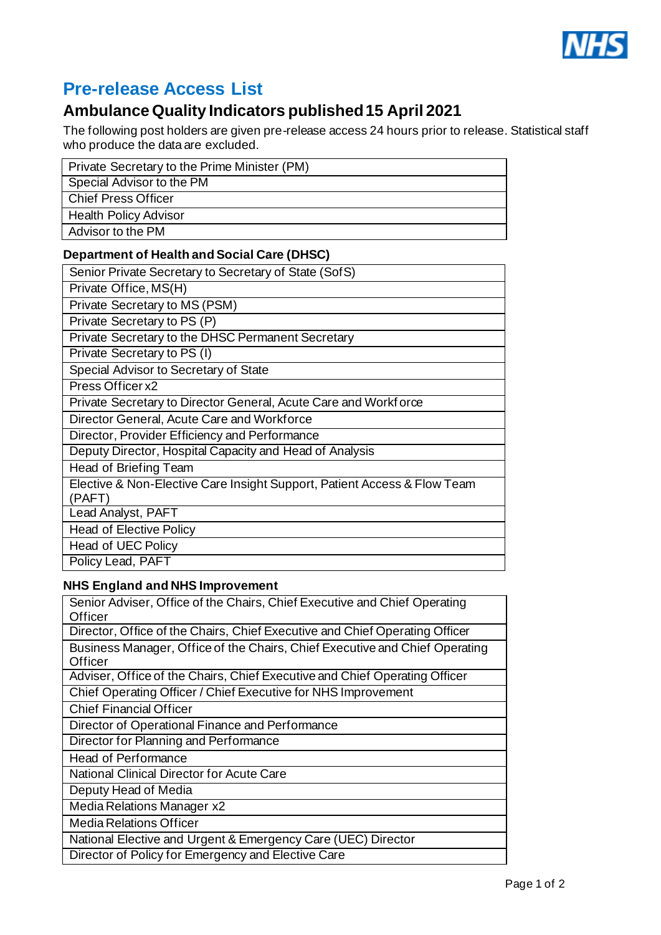

## **Pre-release Access List**

## **Ambulance Quality Indicators published15 April 2021**

The following post holders are given pre-release access 24 hours prior to release. Statistical staff who produce the data are excluded.

| Private Secretary to the Prime Minister (PM) |
|----------------------------------------------|
| Special Advisor to the PM                    |
| Chief Press Officer                          |
| <b>Health Policy Advisor</b>                 |
| Advisor to the PM                            |

## **Department of Health and Social Care (DHSC)**

| Senior Private Secretary to Secretary of State (SofS)                              |
|------------------------------------------------------------------------------------|
| Private Office, MS(H)                                                              |
| Private Secretary to MS (PSM)                                                      |
| Private Secretary to PS (P)                                                        |
| Private Secretary to the DHSC Permanent Secretary                                  |
| Private Secretary to PS (I)                                                        |
| Special Advisor to Secretary of State                                              |
| Press Officer x2                                                                   |
| Private Secretary to Director General, Acute Care and Workforce                    |
| Director General, Acute Care and Workforce                                         |
| Director, Provider Efficiency and Performance                                      |
| Deputy Director, Hospital Capacity and Head of Analysis                            |
| Head of Briefing Team                                                              |
| Elective & Non-Elective Care Insight Support, Patient Access & Flow Team<br>(PAFT) |
| Lead Analyst, PAFT                                                                 |
| <b>Head of Elective Policy</b>                                                     |
| Head of UEC Policy                                                                 |
| Policy Lead, PAFT                                                                  |

## **NHS England and NHS Improvement**

| Senior Adviser, Office of the Chairs, Chief Executive and Chief Operating<br>Officer   |
|----------------------------------------------------------------------------------------|
| Director, Office of the Chairs, Chief Executive and Chief Operating Officer            |
| Business Manager, Office of the Chairs, Chief Executive and Chief Operating<br>Officer |
| Adviser, Office of the Chairs, Chief Executive and Chief Operating Officer             |
| Chief Operating Officer / Chief Executive for NHS Improvement                          |
| <b>Chief Financial Officer</b>                                                         |
| Director of Operational Finance and Performance                                        |
| Director for Planning and Performance                                                  |
| Head of Performance                                                                    |
| National Clinical Director for Acute Care                                              |
| Deputy Head of Media                                                                   |
| Media Relations Manager x2                                                             |
| Media Relations Officer                                                                |
| National Elective and Urgent & Emergency Care (UEC) Director                           |
| Director of Policy for Emergency and Elective Care                                     |